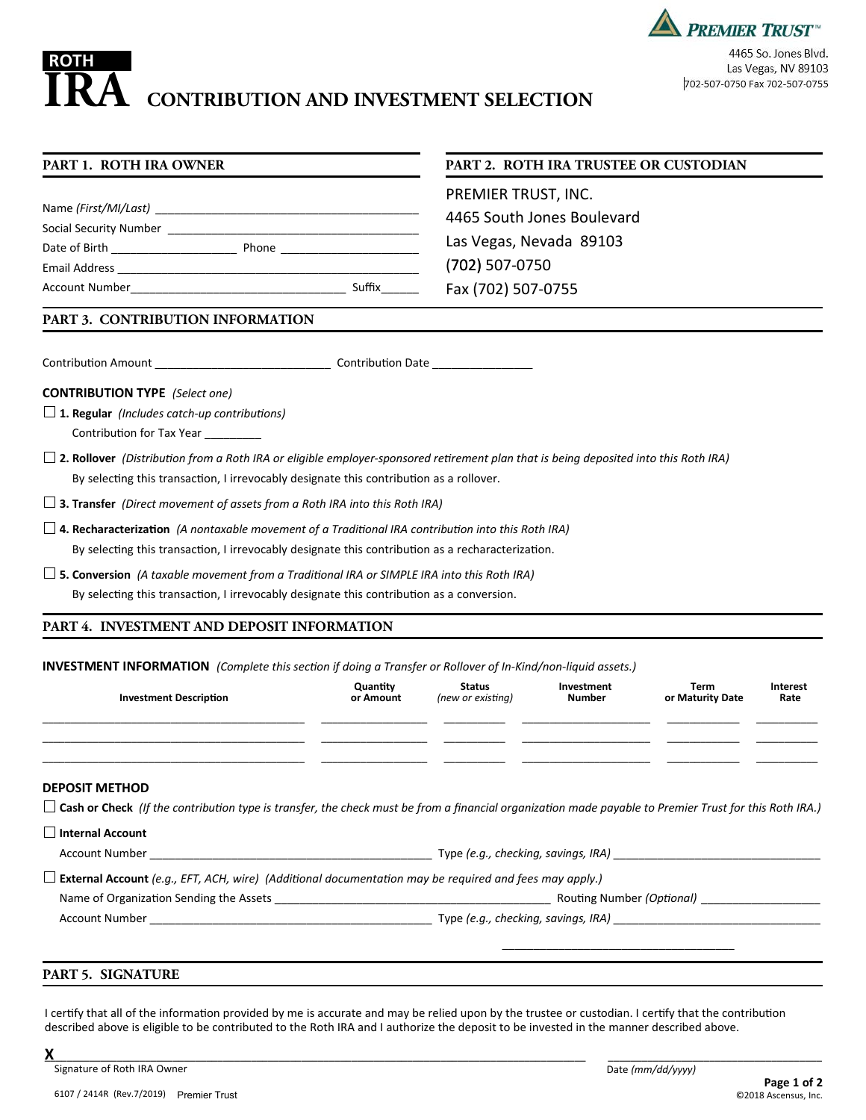# **CONTRIBUTION AND INVESTMENT SELECTION ROTH IRA**

| <b>PREMIER TRUST</b>          |
|-------------------------------|
| 4465 So. Jones Blvd.          |
| Las Vegas, NV 89103           |
| 702-507-0750 Fax 702-507-0755 |

Δ

# **PART 1. ROTH IRA OWNER**

| Social Security Number |                    |        |
|------------------------|--------------------|--------|
| Date of Birth          | <b>Phone</b> Phone |        |
| Email Address          |                    |        |
| <b>Account Number</b>  |                    | Suffix |

## **PART 2. ROTH IRA TRUSTEE OR CUSTODIAN**

PREMIER TRUST, INC. 4465 South Jones Boulevard Las Vegas, Nevada 89103 (702) 507-0750 Fax (702) 507-0755

# **PART 3. CONTRIBUTION INFORMATION**

Contribution Amount \_\_\_\_\_\_\_\_\_\_\_\_\_\_\_\_\_\_\_\_\_\_\_\_\_\_\_\_ Contribution Date \_\_\_\_\_\_\_\_\_\_\_\_\_\_\_\_

### **CONTRIBUTION TYPE** *(Select one)*

- **1. Regular** *(Includes catch-up contributions)* Contribution for Tax Year \_\_\_\_\_\_\_\_\_
- **2. Rollover** *(Distribution from a Roth IRA or eligible employer-sponsored retirement plan that is being deposited into this Roth IRA)* By selecting this transaction, I irrevocably designate this contribution as a rollover.
- **3. Transfer** *(Direct movement of assets from a Roth IRA into this Roth IRA)*
- **4. Recharacterization** *(A nontaxable movement of a Traditional IRA contribution into this Roth IRA)* By selecting this transaction, I irrevocably designate this contribution as a recharacterization.
- **5. Conversion** *(A taxable movement from a Traditional IRA or SIMPLE IRA into this Roth IRA)* By selecting this transaction, I irrevocably designate this contribution as a conversion.

# **PART 4. INVESTMENT AND DEPOSIT INFORMATION**

## **INVESTMENT INFORMATION** *(Complete this section if doing a Transfer or Rollover of In-Kind/non-liquid assets.)*

| <b>Investment Description</b>                                                                                                                                                          | Quantity<br>or Amount | Status<br>(new or existing) | Investment<br>Number | Term<br>or Maturity Date | Interest<br>Rate |
|----------------------------------------------------------------------------------------------------------------------------------------------------------------------------------------|-----------------------|-----------------------------|----------------------|--------------------------|------------------|
|                                                                                                                                                                                        |                       |                             |                      |                          |                  |
| <b>DEPOSIT METHOD</b><br>$\Box$ Cash or Check (If the contribution type is transfer, the check must be from a financial organization made payable to Premier Trust for this Roth IRA.) |                       |                             |                      |                          |                  |
|                                                                                                                                                                                        |                       |                             |                      |                          |                  |
| $\Box$ Internal Account                                                                                                                                                                |                       |                             |                      |                          |                  |
|                                                                                                                                                                                        |                       |                             |                      |                          |                  |
| $\Box$ External Account (e.g., EFT, ACH, wire) (Additional documentation may be required and fees may apply.)                                                                          |                       |                             |                      |                          |                  |
|                                                                                                                                                                                        |                       |                             |                      |                          |                  |

## **PART 5. SIGNATURE**

I certify that all of the information provided by me is accurate and may be relied upon by the trustee or custodian. I certify that the contribution described above is eligible to be contributed to the Roth IRA and I authorize the deposit to be invested in the manner described above.

**X**\_\_\_\_\_\_\_\_\_\_\_\_\_\_\_\_\_\_\_\_\_\_\_\_\_\_\_\_\_\_\_\_\_\_\_\_\_\_\_\_\_\_\_\_\_\_\_\_\_\_\_\_\_\_\_\_\_\_\_\_\_\_\_\_\_\_\_\_\_\_\_\_\_\_\_\_\_\_\_\_\_\_\_\_\_\_\_\_\_\_\_\_\_\_\_\_\_ \_\_\_\_\_\_\_\_\_\_\_\_\_\_\_\_\_\_\_\_\_\_\_\_\_\_\_\_\_\_\_\_\_\_\_\_\_\_ Signature of Roth IRA Owner